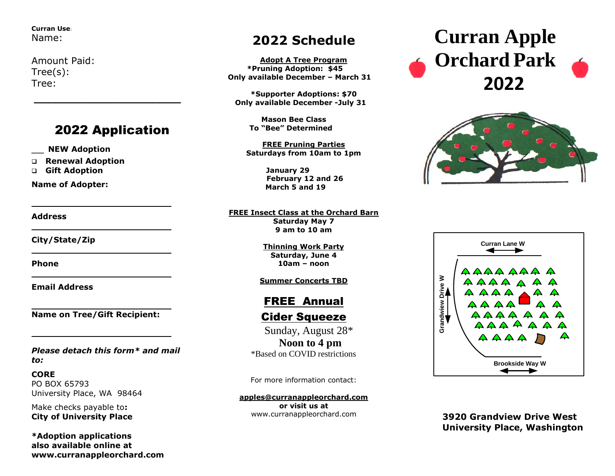**Curran Use**: Name:

Amount Paid: Tree(s): Tree:

## 2022 Application

*\_\_\_\_\_\_\_\_\_\_\_\_\_\_\_\_\_\_\_\_\_* 

\_\_ **NEW Adoption**

❑ **Renewal Adoption**

❑ **Gift Adoption**

**Name of Adopter:**

## **Address**

**City/State/Zip**

**Phone** 

**Email Address**

**Name on Tree/Gift Recipient:**

*Please detach this form\* and mail to:*

**CORE** PO BOX 65793 University Place, WA 98464

Make checks payable to**: City of University Place**

**\*Adoption applications also available online at www.curranappleorchard.com**

## **2022 Schedule**

**Adopt A Tree Program \*Pruning Adoption: \$45 Only available December – March 31**

**\*Supporter Adoptions: \$70 Only available December -July 31**

> **Mason Bee Class To "Bee" Determined**

**FREE Pruning Parties Saturdays from 10am to 1pm**

> **January 29 February 12 and 26 March 5 and 19**

**FREE Insect Class at the Orchard Barn Saturday May 7 9 am to 10 am**

> **Thinning Work Party Saturday, June 4 10am – noon**

## **Summer Concerts TBD**

## FREE Annual

**Cider Squeeze** 

 Sunday, August 28\* **Noon to 4 pm**  \*Based on COVID restrictions

For more information contact:

**[apples@curranappleorchard.com](mailto:apples@curranappleorchard.com) or visit us at** www.curranappleorchard.com

# **Curran Apple Orchard Park 2022**





**3920 Grandview Drive West University Place, Washington**